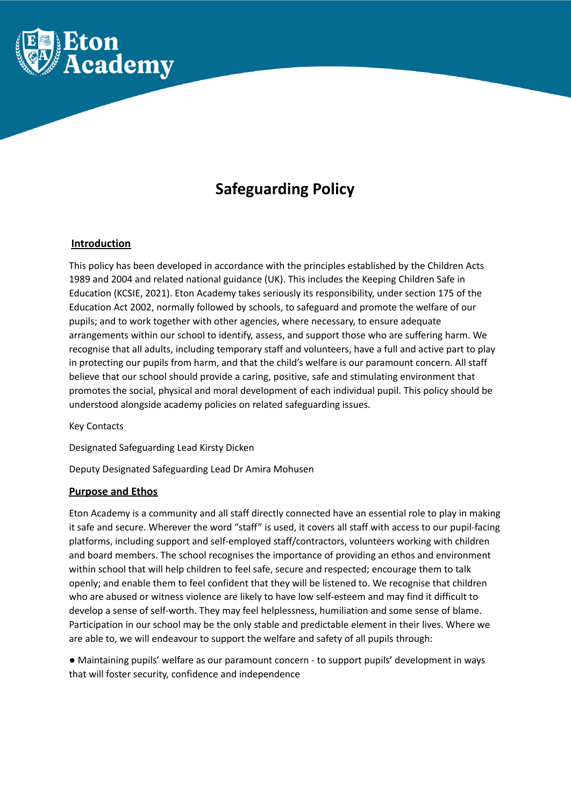

# **Safeguarding Policy**

# **Introduction**

This policy has been developed in accordance with the principles established by the Children Acts 1989 and 2004 and related national guidance (UK). This includes the Keeping Children Safe in Education (KCSIE, 2021). Eton Academy takes seriously its responsibility, under section 175 of the Education Act 2002, normally followed by schools, to safeguard and promote the welfare of our pupils; and to work together with other agencies, where necessary, to ensure adequate arrangements within our school to identify, assess, and support those who are suffering harm. We recognise that all adults, including temporary staff and volunteers, have a full and active part to play in protecting our pupils from harm, and that the child's welfare is our paramount concern. All staff believe that our school should provide a caring, positive, safe and stimulating environment that promotes the social, physical and moral development of each individual pupil. This policy should be understood alongside academy policies on related safeguarding issues.

Key Contacts

Designated Safeguarding Lead Kirsty Dicken

Deputy Designated Safeguarding Lead Dr Amira Mohusen

# **Purpose and Ethos**

Eton Academy is a community and all staff directly connected have an essential role to play in making it safe and secure. Wherever the word "staff" is used, it covers all staff with access to our pupil-facing platforms, including support and self-employed staff/contractors, volunteers working with children and board members. The school recognises the importance of providing an ethos and environment within school that will help children to feel safe, secure and respected; encourage them to talk openly; and enable them to feel confident that they will be listened to. We recognise that children who are abused or witness violence are likely to have low self-esteem and may find it difficult to develop a sense of self-worth. They may feel helplessness, humiliation and some sense of blame. Participation in our school may be the only stable and predictable element in their lives. Where we are able to, we will endeavour to support the welfare and safety of all pupils through:

● Maintaining pupils' welfare as our paramount concern - to support pupils' development in ways that will foster security, confidence and independence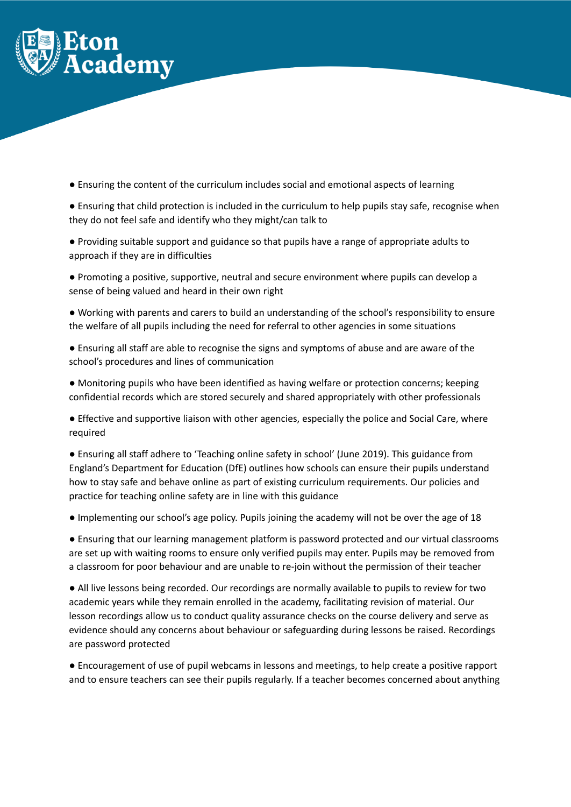

● Ensuring the content of the curriculum includes social and emotional aspects of learning

● Ensuring that child protection is included in the curriculum to help pupils stay safe, recognise when they do not feel safe and identify who they might/can talk to

● Providing suitable support and guidance so that pupils have a range of appropriate adults to approach if they are in difficulties

● Promoting a positive, supportive, neutral and secure environment where pupils can develop a sense of being valued and heard in their own right

● Working with parents and carers to build an understanding of the school's responsibility to ensure the welfare of all pupils including the need for referral to other agencies in some situations

● Ensuring all staff are able to recognise the signs and symptoms of abuse and are aware of the school's procedures and lines of communication

● Monitoring pupils who have been identified as having welfare or protection concerns; keeping confidential records which are stored securely and shared appropriately with other professionals

● Effective and supportive liaison with other agencies, especially the police and Social Care, where required

● Ensuring all staff adhere to 'Teaching online safety in school' (June 2019). This guidance from England's Department for Education (DfE) outlines how schools can ensure their pupils understand how to stay safe and behave online as part of existing curriculum requirements. Our policies and practice for teaching online safety are in line with this guidance

● Implementing our school's age policy. Pupils joining the academy will not be over the age of 18

● Ensuring that our learning management platform is password protected and our virtual classrooms are set up with waiting rooms to ensure only verified pupils may enter. Pupils may be removed from a classroom for poor behaviour and are unable to re-join without the permission of their teacher

● All live lessons being recorded. Our recordings are normally available to pupils to review for two academic years while they remain enrolled in the academy, facilitating revision of material. Our lesson recordings allow us to conduct quality assurance checks on the course delivery and serve as evidence should any concerns about behaviour or safeguarding during lessons be raised. Recordings are password protected

● Encouragement of use of pupil webcams in lessons and meetings, to help create a positive rapport and to ensure teachers can see their pupils regularly. If a teacher becomes concerned about anything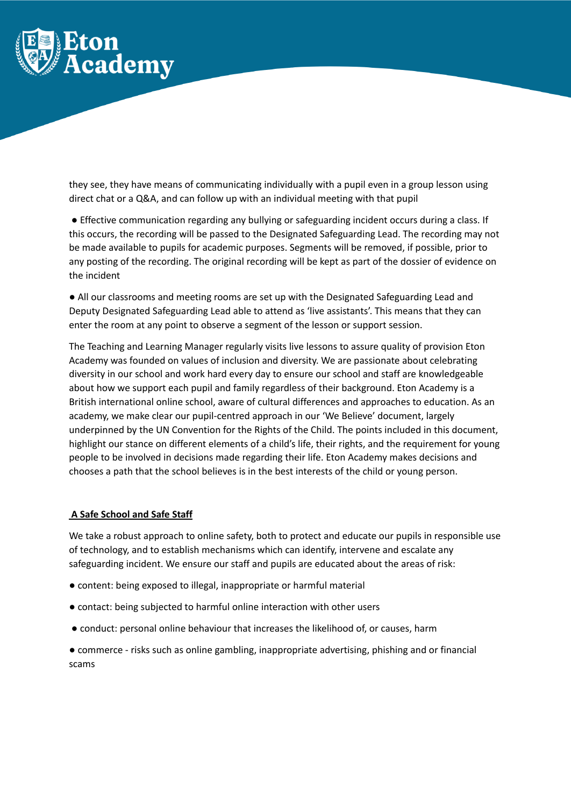

they see, they have means of communicating individually with a pupil even in a group lesson using direct chat or a Q&A, and can follow up with an individual meeting with that pupil

● Effective communication regarding any bullying or safeguarding incident occurs during a class. If this occurs, the recording will be passed to the Designated Safeguarding Lead. The recording may not be made available to pupils for academic purposes. Segments will be removed, if possible, prior to any posting of the recording. The original recording will be kept as part of the dossier of evidence on the incident

● All our classrooms and meeting rooms are set up with the Designated Safeguarding Lead and Deputy Designated Safeguarding Lead able to attend as 'live assistants'. This means that they can enter the room at any point to observe a segment of the lesson or support session.

The Teaching and Learning Manager regularly visits live lessons to assure quality of provision Eton Academy was founded on values of inclusion and diversity. We are passionate about celebrating diversity in our school and work hard every day to ensure our school and staff are knowledgeable about how we support each pupil and family regardless of their background. Eton Academy is a British international online school, aware of cultural differences and approaches to education. As an academy, we make clear our pupil-centred approach in our 'We Believe' document, largely underpinned by the UN Convention for the Rights of the Child. The points included in this document, highlight our stance on different elements of a child's life, their rights, and the requirement for young people to be involved in decisions made regarding their life. Eton Academy makes decisions and chooses a path that the school believes is in the best interests of the child or young person.

# **A Safe School and Safe Staff**

We take a robust approach to online safety, both to protect and educate our pupils in responsible use of technology, and to establish mechanisms which can identify, intervene and escalate any safeguarding incident. We ensure our staff and pupils are educated about the areas of risk:

- content: being exposed to illegal, inappropriate or harmful material
- contact: being subjected to harmful online interaction with other users
- conduct: personal online behaviour that increases the likelihood of, or causes, harm

● commerce - risks such as online gambling, inappropriate advertising, phishing and or financial scams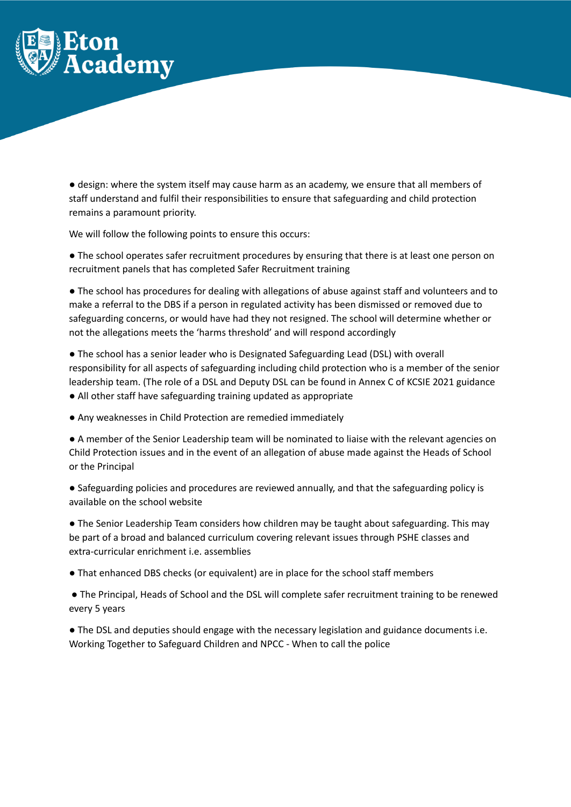

● design: where the system itself may cause harm as an academy, we ensure that all members of staff understand and fulfil their responsibilities to ensure that safeguarding and child protection remains a paramount priority.

We will follow the following points to ensure this occurs:

● The school operates safer recruitment procedures by ensuring that there is at least one person on recruitment panels that has completed Safer Recruitment training

● The school has procedures for dealing with allegations of abuse against staff and volunteers and to make a referral to the DBS if a person in regulated activity has been dismissed or removed due to safeguarding concerns, or would have had they not resigned. The school will determine whether or not the allegations meets the 'harms threshold' and will respond accordingly

● The school has a senior leader who is Designated Safeguarding Lead (DSL) with overall responsibility for all aspects of safeguarding including child protection who is a member of the senior leadership team. (The role of a DSL and Deputy DSL can be found in Annex C of KCSIE 2021 guidance ● All other staff have safeguarding training updated as appropriate

● Any weaknesses in Child Protection are remedied immediately

● A member of the Senior Leadership team will be nominated to liaise with the relevant agencies on Child Protection issues and in the event of an allegation of abuse made against the Heads of School or the Principal

● Safeguarding policies and procedures are reviewed annually, and that the safeguarding policy is available on the school website

• The Senior Leadership Team considers how children may be taught about safeguarding. This may be part of a broad and balanced curriculum covering relevant issues through PSHE classes and extra-curricular enrichment i.e. assemblies

● That enhanced DBS checks (or equivalent) are in place for the school staff members

● The Principal, Heads of School and the DSL will complete safer recruitment training to be renewed every 5 years

● The DSL and deputies should engage with the necessary legislation and guidance documents i.e. Working Together to Safeguard Children and NPCC - When to call the police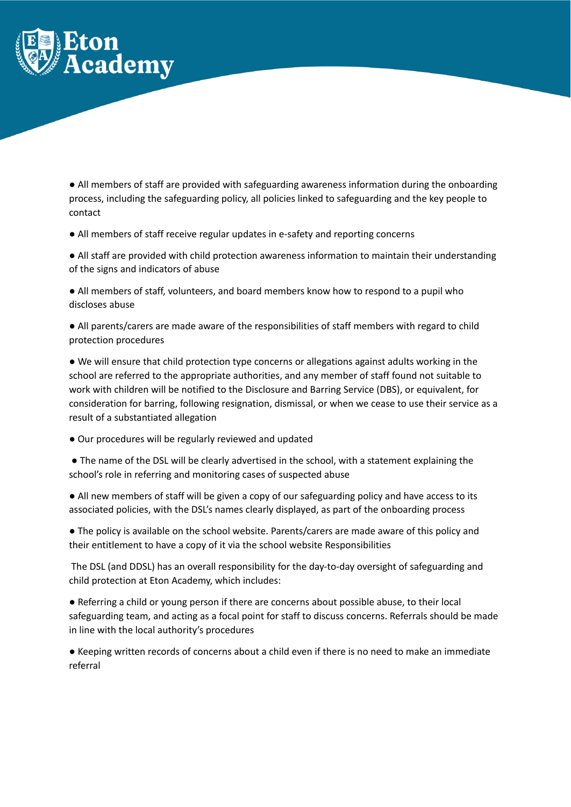

● All members of staff are provided with safeguarding awareness information during the onboarding process, including the safeguarding policy, all policies linked to safeguarding and the key people to contact

● All members of staff receive regular updates in e-safety and reporting concerns

● All staff are provided with child protection awareness information to maintain their understanding of the signs and indicators of abuse

● All members of staff, volunteers, and board members know how to respond to a pupil who discloses abuse

● All parents/carers are made aware of the responsibilities of staff members with regard to child protection procedures

● We will ensure that child protection type concerns or allegations against adults working in the school are referred to the appropriate authorities, and any member of staff found not suitable to work with children will be notified to the Disclosure and Barring Service (DBS), or equivalent, for consideration for barring, following resignation, dismissal, or when we cease to use their service as a result of a substantiated allegation

● Our procedures will be regularly reviewed and updated

● The name of the DSL will be clearly advertised in the school, with a statement explaining the school's role in referring and monitoring cases of suspected abuse

● All new members of staff will be given a copy of our safeguarding policy and have access to its associated policies, with the DSL's names clearly displayed, as part of the onboarding process

● The policy is available on the school website. Parents/carers are made aware of this policy and their entitlement to have a copy of it via the school website Responsibilities

The DSL (and DDSL) has an overall responsibility for the day-to-day oversight of safeguarding and child protection at Eton Academy, which includes:

● Referring a child or young person if there are concerns about possible abuse, to their local safeguarding team, and acting as a focal point for staff to discuss concerns. Referrals should be made in line with the local authority's procedures

● Keeping written records of concerns about a child even if there is no need to make an immediate referral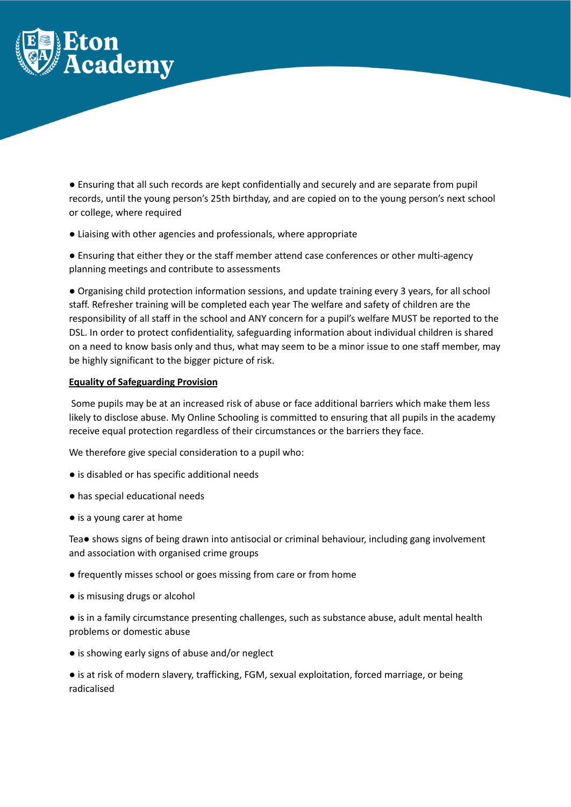

● Ensuring that all such records are kept confidentially and securely and are separate from pupil records, until the young person's 25th birthday, and are copied on to the young person's next school or college, where required

● Liaising with other agencies and professionals, where appropriate

● Ensuring that either they or the staff member attend case conferences or other multi-agency planning meetings and contribute to assessments

● Organising child protection information sessions, and update training every 3 years, for all school staff. Refresher training will be completed each year The welfare and safety of children are the responsibility of all staff in the school and ANY concern for a pupil's welfare MUST be reported to the DSL. In order to protect confidentiality, safeguarding information about individual children is shared on a need to know basis only and thus, what may seem to be a minor issue to one staff member, may be highly significant to the bigger picture of risk.

#### **Equality of Safeguarding Provision**

Some pupils may be at an increased risk of abuse or face additional barriers which make them less likely to disclose abuse. My Online Schooling is committed to ensuring that all pupils in the academy receive equal protection regardless of their circumstances or the barriers they face.

We therefore give special consideration to a pupil who:

- is disabled or has specific additional needs
- has special educational needs
- is a young carer at home

Tea● shows signs of being drawn into antisocial or criminal behaviour, including gang involvement and association with organised crime groups

- frequently misses school or goes missing from care or from home
- is misusing drugs or alcohol
- is in a family circumstance presenting challenges, such as substance abuse, adult mental health problems or domestic abuse
- is showing early signs of abuse and/or neglect

● is at risk of modern slavery, trafficking, FGM, sexual exploitation, forced marriage, or being radicalised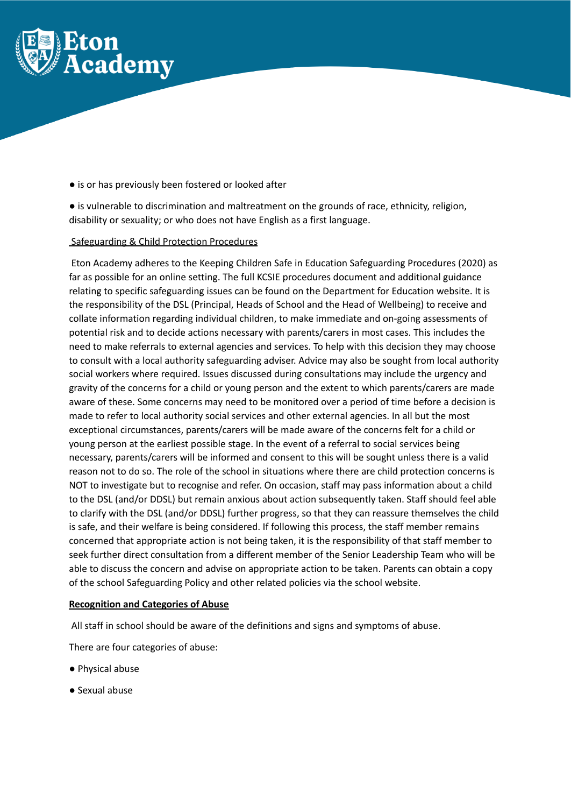

- is or has previously been fostered or looked after
- is vulnerable to discrimination and maltreatment on the grounds of race, ethnicity, religion, disability or sexuality; or who does not have English as a first language.

#### Safeguarding & Child Protection Procedures

Eton Academy adheres to the Keeping Children Safe in Education Safeguarding Procedures (2020) as far as possible for an online setting. The full KCSIE procedures document and additional guidance relating to specific safeguarding issues can be found on the Department for Education website. It is the responsibility of the DSL (Principal, Heads of School and the Head of Wellbeing) to receive and collate information regarding individual children, to make immediate and on-going assessments of potential risk and to decide actions necessary with parents/carers in most cases. This includes the need to make referrals to external agencies and services. To help with this decision they may choose to consult with a local authority safeguarding adviser. Advice may also be sought from local authority social workers where required. Issues discussed during consultations may include the urgency and gravity of the concerns for a child or young person and the extent to which parents/carers are made aware of these. Some concerns may need to be monitored over a period of time before a decision is made to refer to local authority social services and other external agencies. In all but the most exceptional circumstances, parents/carers will be made aware of the concerns felt for a child or young person at the earliest possible stage. In the event of a referral to social services being necessary, parents/carers will be informed and consent to this will be sought unless there is a valid reason not to do so. The role of the school in situations where there are child protection concerns is NOT to investigate but to recognise and refer. On occasion, staff may pass information about a child to the DSL (and/or DDSL) but remain anxious about action subsequently taken. Staff should feel able to clarify with the DSL (and/or DDSL) further progress, so that they can reassure themselves the child is safe, and their welfare is being considered. If following this process, the staff member remains concerned that appropriate action is not being taken, it is the responsibility of that staff member to seek further direct consultation from a different member of the Senior Leadership Team who will be able to discuss the concern and advise on appropriate action to be taken. Parents can obtain a copy of the school Safeguarding Policy and other related policies via the school website.

#### **Recognition and Categories of Abuse**

All staff in school should be aware of the definitions and signs and symptoms of abuse.

There are four categories of abuse:

- Physical abuse
- Sexual abuse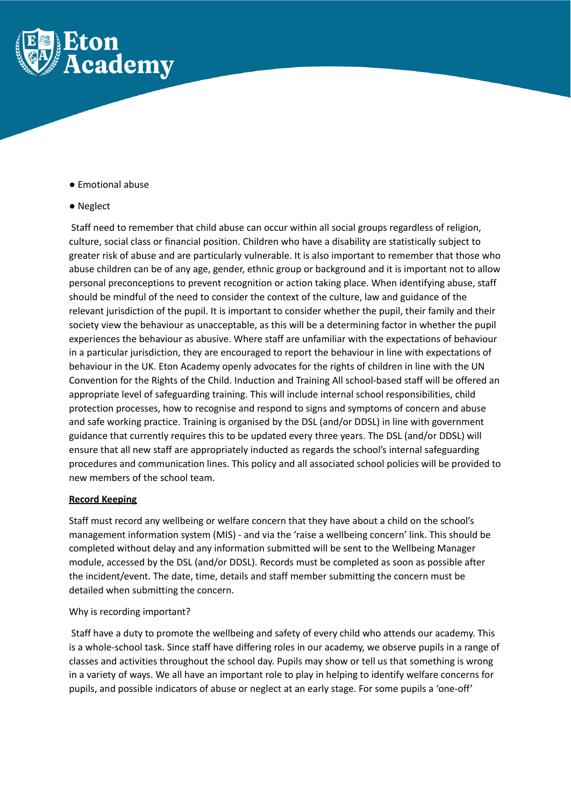

● Emotional abuse

#### ● Neglect

Staff need to remember that child abuse can occur within all social groups regardless of religion, culture, social class or financial position. Children who have a disability are statistically subject to greater risk of abuse and are particularly vulnerable. It is also important to remember that those who abuse children can be of any age, gender, ethnic group or background and it is important not to allow personal preconceptions to prevent recognition or action taking place. When identifying abuse, staff should be mindful of the need to consider the context of the culture, law and guidance of the relevant jurisdiction of the pupil. It is important to consider whether the pupil, their family and their society view the behaviour as unacceptable, as this will be a determining factor in whether the pupil experiences the behaviour as abusive. Where staff are unfamiliar with the expectations of behaviour in a particular jurisdiction, they are encouraged to report the behaviour in line with expectations of behaviour in the UK. Eton Academy openly advocates for the rights of children in line with the UN Convention for the Rights of the Child. Induction and Training All school-based staff will be offered an appropriate level of safeguarding training. This will include internal school responsibilities, child protection processes, how to recognise and respond to signs and symptoms of concern and abuse and safe working practice. Training is organised by the DSL (and/or DDSL) in line with government guidance that currently requires this to be updated every three years. The DSL (and/or DDSL) will ensure that all new staff are appropriately inducted as regards the school's internal safeguarding procedures and communication lines. This policy and all associated school policies will be provided to new members of the school team.

# **Record Keeping**

Staff must record any wellbeing or welfare concern that they have about a child on the school's management information system (MIS) - and via the 'raise a wellbeing concern' link. This should be completed without delay and any information submitted will be sent to the Wellbeing Manager module, accessed by the DSL (and/or DDSL). Records must be completed as soon as possible after the incident/event. The date, time, details and staff member submitting the concern must be detailed when submitting the concern.

#### Why is recording important?

Staff have a duty to promote the wellbeing and safety of every child who attends our academy. This is a whole-school task. Since staff have differing roles in our academy, we observe pupils in a range of classes and activities throughout the school day. Pupils may show or tell us that something is wrong in a variety of ways. We all have an important role to play in helping to identify welfare concerns for pupils, and possible indicators of abuse or neglect at an early stage. For some pupils a 'one-off'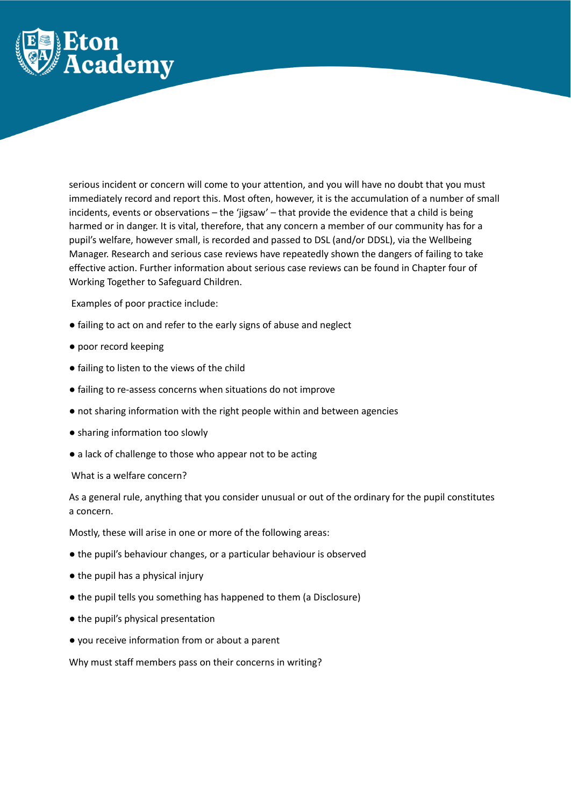

serious incident or concern will come to your attention, and you will have no doubt that you must immediately record and report this. Most often, however, it is the accumulation of a number of small incidents, events or observations – the 'jigsaw' – that provide the evidence that a child is being harmed or in danger. It is vital, therefore, that any concern a member of our community has for a pupil's welfare, however small, is recorded and passed to DSL (and/or DDSL), via the Wellbeing Manager. Research and serious case reviews have repeatedly shown the dangers of failing to take effective action. Further information about serious case reviews can be found in Chapter four of Working Together to Safeguard Children.

Examples of poor practice include:

- failing to act on and refer to the early signs of abuse and neglect
- poor record keeping
- failing to listen to the views of the child
- failing to re-assess concerns when situations do not improve
- not sharing information with the right people within and between agencies
- sharing information too slowly
- a lack of challenge to those who appear not to be acting

What is a welfare concern?

As a general rule, anything that you consider unusual or out of the ordinary for the pupil constitutes a concern.

Mostly, these will arise in one or more of the following areas:

- the pupil's behaviour changes, or a particular behaviour is observed
- the pupil has a physical injury
- the pupil tells you something has happened to them (a Disclosure)
- the pupil's physical presentation
- you receive information from or about a parent

Why must staff members pass on their concerns in writing?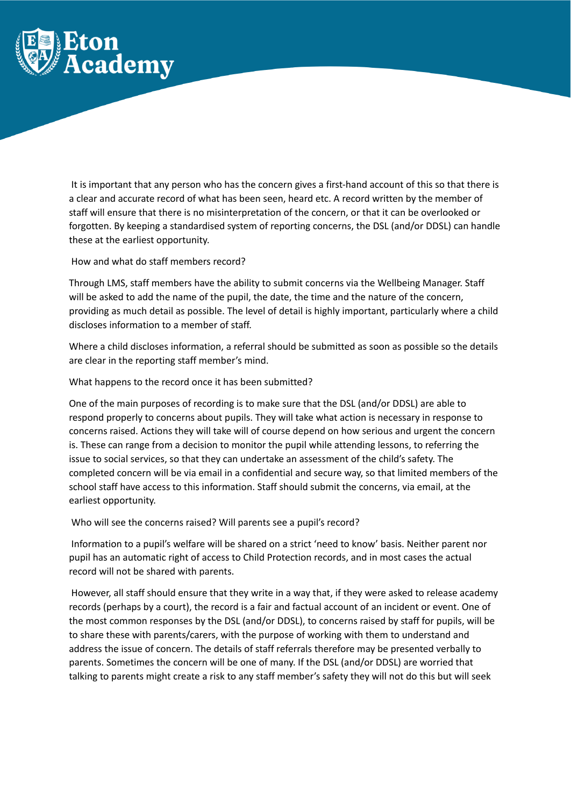

It is important that any person who has the concern gives a first-hand account of this so that there is a clear and accurate record of what has been seen, heard etc. A record written by the member of staff will ensure that there is no misinterpretation of the concern, or that it can be overlooked or forgotten. By keeping a standardised system of reporting concerns, the DSL (and/or DDSL) can handle these at the earliest opportunity.

How and what do staff members record?

Through LMS, staff members have the ability to submit concerns via the Wellbeing Manager. Staff will be asked to add the name of the pupil, the date, the time and the nature of the concern, providing as much detail as possible. The level of detail is highly important, particularly where a child discloses information to a member of staff.

Where a child discloses information, a referral should be submitted as soon as possible so the details are clear in the reporting staff member's mind.

What happens to the record once it has been submitted?

One of the main purposes of recording is to make sure that the DSL (and/or DDSL) are able to respond properly to concerns about pupils. They will take what action is necessary in response to concerns raised. Actions they will take will of course depend on how serious and urgent the concern is. These can range from a decision to monitor the pupil while attending lessons, to referring the issue to social services, so that they can undertake an assessment of the child's safety. The completed concern will be via email in a confidential and secure way, so that limited members of the school staff have access to this information. Staff should submit the concerns, via email, at the earliest opportunity.

Who will see the concerns raised? Will parents see a pupil's record?

Information to a pupil's welfare will be shared on a strict 'need to know' basis. Neither parent nor pupil has an automatic right of access to Child Protection records, and in most cases the actual record will not be shared with parents.

However, all staff should ensure that they write in a way that, if they were asked to release academy records (perhaps by a court), the record is a fair and factual account of an incident or event. One of the most common responses by the DSL (and/or DDSL), to concerns raised by staff for pupils, will be to share these with parents/carers, with the purpose of working with them to understand and address the issue of concern. The details of staff referrals therefore may be presented verbally to parents. Sometimes the concern will be one of many. If the DSL (and/or DDSL) are worried that talking to parents might create a risk to any staff member's safety they will not do this but will seek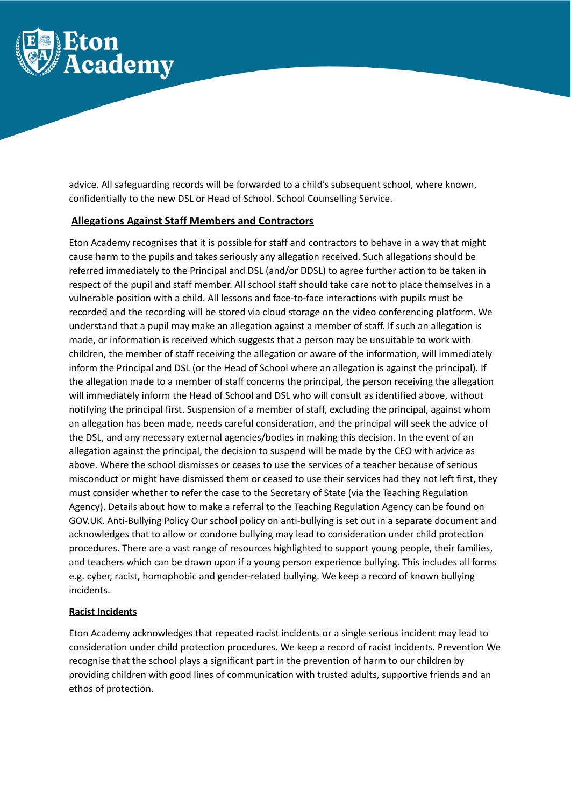

advice. All safeguarding records will be forwarded to a child's subsequent school, where known, confidentially to the new DSL or Head of School. School Counselling Service.

# **Allegations Against Staff Members and Contractors**

Eton Academy recognises that it is possible for staff and contractors to behave in a way that might cause harm to the pupils and takes seriously any allegation received. Such allegations should be referred immediately to the Principal and DSL (and/or DDSL) to agree further action to be taken in respect of the pupil and staff member. All school staff should take care not to place themselves in a vulnerable position with a child. All lessons and face-to-face interactions with pupils must be recorded and the recording will be stored via cloud storage on the video conferencing platform. We understand that a pupil may make an allegation against a member of staff. If such an allegation is made, or information is received which suggests that a person may be unsuitable to work with children, the member of staff receiving the allegation or aware of the information, will immediately inform the Principal and DSL (or the Head of School where an allegation is against the principal). If the allegation made to a member of staff concerns the principal, the person receiving the allegation will immediately inform the Head of School and DSL who will consult as identified above, without notifying the principal first. Suspension of a member of staff, excluding the principal, against whom an allegation has been made, needs careful consideration, and the principal will seek the advice of the DSL, and any necessary external agencies/bodies in making this decision. In the event of an allegation against the principal, the decision to suspend will be made by the CEO with advice as above. Where the school dismisses or ceases to use the services of a teacher because of serious misconduct or might have dismissed them or ceased to use their services had they not left first, they must consider whether to refer the case to the Secretary of State (via the Teaching Regulation Agency). Details about how to make a referral to the Teaching Regulation Agency can be found on GOV.UK. Anti-Bullying Policy Our school policy on anti-bullying is set out in a separate document and acknowledges that to allow or condone bullying may lead to consideration under child protection procedures. There are a vast range of resources highlighted to support young people, their families, and teachers which can be drawn upon if a young person experience bullying. This includes all forms e.g. cyber, racist, homophobic and gender-related bullying. We keep a record of known bullying incidents.

# **Racist Incidents**

Eton Academy acknowledges that repeated racist incidents or a single serious incident may lead to consideration under child protection procedures. We keep a record of racist incidents. Prevention We recognise that the school plays a significant part in the prevention of harm to our children by providing children with good lines of communication with trusted adults, supportive friends and an ethos of protection.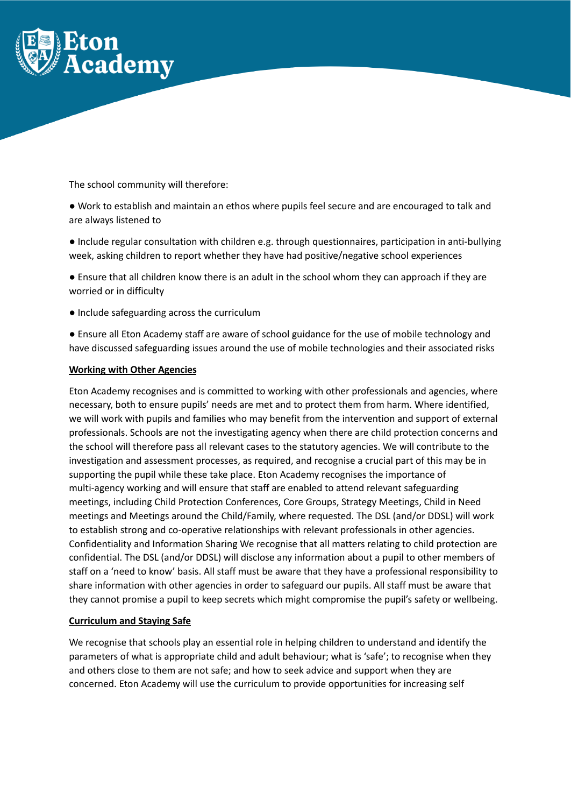

The school community will therefore:

- Work to establish and maintain an ethos where pupils feel secure and are encouraged to talk and are always listened to
- Include regular consultation with children e.g. through questionnaires, participation in anti-bullying week, asking children to report whether they have had positive/negative school experiences
- Ensure that all children know there is an adult in the school whom they can approach if they are worried or in difficulty
- Include safeguarding across the curriculum
- Ensure all Eton Academy staff are aware of school guidance for the use of mobile technology and have discussed safeguarding issues around the use of mobile technologies and their associated risks

# **Working with Other Agencies**

Eton Academy recognises and is committed to working with other professionals and agencies, where necessary, both to ensure pupils' needs are met and to protect them from harm. Where identified, we will work with pupils and families who may benefit from the intervention and support of external professionals. Schools are not the investigating agency when there are child protection concerns and the school will therefore pass all relevant cases to the statutory agencies. We will contribute to the investigation and assessment processes, as required, and recognise a crucial part of this may be in supporting the pupil while these take place. Eton Academy recognises the importance of multi-agency working and will ensure that staff are enabled to attend relevant safeguarding meetings, including Child Protection Conferences, Core Groups, Strategy Meetings, Child in Need meetings and Meetings around the Child/Family, where requested. The DSL (and/or DDSL) will work to establish strong and co-operative relationships with relevant professionals in other agencies. Confidentiality and Information Sharing We recognise that all matters relating to child protection are confidential. The DSL (and/or DDSL) will disclose any information about a pupil to other members of staff on a 'need to know' basis. All staff must be aware that they have a professional responsibility to share information with other agencies in order to safeguard our pupils. All staff must be aware that they cannot promise a pupil to keep secrets which might compromise the pupil's safety or wellbeing.

# **Curriculum and Staying Safe**

We recognise that schools play an essential role in helping children to understand and identify the parameters of what is appropriate child and adult behaviour; what is 'safe'; to recognise when they and others close to them are not safe; and how to seek advice and support when they are concerned. Eton Academy will use the curriculum to provide opportunities for increasing self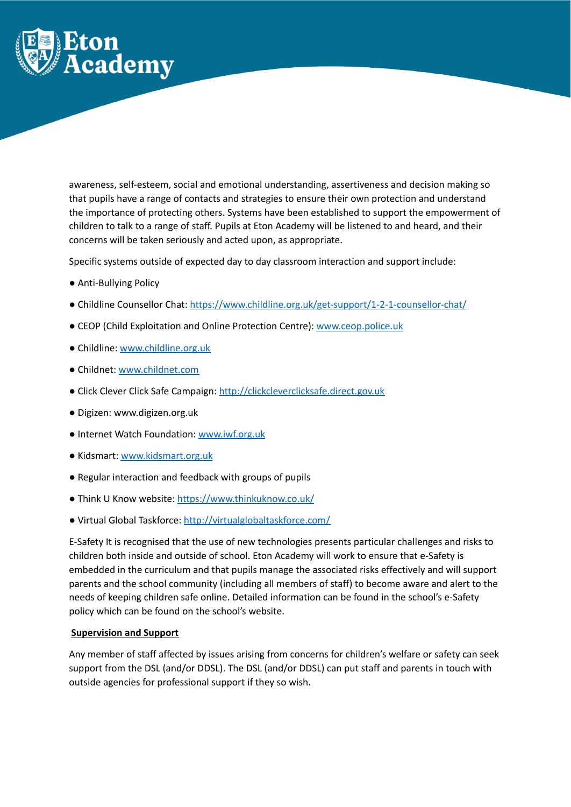

awareness, self-esteem, social and emotional understanding, assertiveness and decision making so that pupils have a range of contacts and strategies to ensure their own protection and understand the importance of protecting others. Systems have been established to support the empowerment of children to talk to a range of staff. Pupils at Eton Academy will be listened to and heard, and their concerns will be taken seriously and acted upon, as appropriate.

Specific systems outside of expected day to day classroom interaction and support include:

- Anti-Bullying Policy
- Childline Counsellor Chat: <https://www.childline.org.uk/get-support/1-2-1-counsellor-chat/>
- CEOP (Child Exploitation and Online Protection Centre): [www.ceop.police.uk](http://www.ceop.police.uk)
- Childline: [www.childline.org.uk](http://www.childline.org.uk)
- Childnet: [www.childnet.com](http://www.childnet.com)
- Click Clever Click Safe Campaign: <http://clickcleverclicksafe.direct.gov.uk>
- Digizen: www.digizen.org.uk
- Internet Watch Foundation: [www.iwf.org.uk](http://www.iwf.org.uk)
- Kidsmart: [www.kidsmart.org.uk](http://www.kidsmart.org.uk)
- Regular interaction and feedback with groups of pupils
- Think U Know website: <https://www.thinkuknow.co.uk/>
- Virtual Global Taskforce: <http://virtualglobaltaskforce.com/>

E-Safety It is recognised that the use of new technologies presents particular challenges and risks to children both inside and outside of school. Eton Academy will work to ensure that e-Safety is embedded in the curriculum and that pupils manage the associated risks effectively and will support parents and the school community (including all members of staff) to become aware and alert to the needs of keeping children safe online. Detailed information can be found in the school's e-Safety policy which can be found on the school's website.

# **Supervision and Support**

Any member of staff affected by issues arising from concerns for children's welfare or safety can seek support from the DSL (and/or DDSL). The DSL (and/or DDSL) can put staff and parents in touch with outside agencies for professional support if they so wish.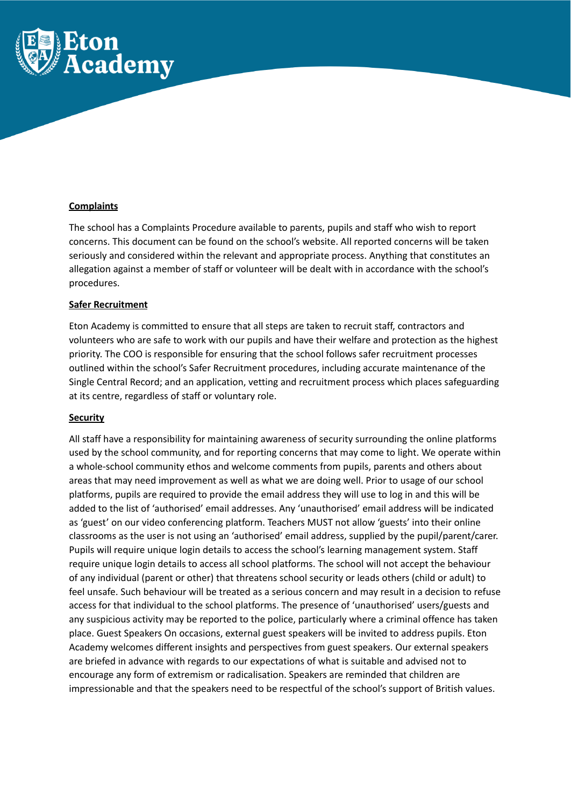

# **Complaints**

The school has a Complaints Procedure available to parents, pupils and staff who wish to report concerns. This document can be found on the school's website. All reported concerns will be taken seriously and considered within the relevant and appropriate process. Anything that constitutes an allegation against a member of staff or volunteer will be dealt with in accordance with the school's procedures.

# **Safer Recruitment**

Eton Academy is committed to ensure that all steps are taken to recruit staff, contractors and volunteers who are safe to work with our pupils and have their welfare and protection as the highest priority. The COO is responsible for ensuring that the school follows safer recruitment processes outlined within the school's Safer Recruitment procedures, including accurate maintenance of the Single Central Record; and an application, vetting and recruitment process which places safeguarding at its centre, regardless of staff or voluntary role.

# **Security**

All staff have a responsibility for maintaining awareness of security surrounding the online platforms used by the school community, and for reporting concerns that may come to light. We operate within a whole-school community ethos and welcome comments from pupils, parents and others about areas that may need improvement as well as what we are doing well. Prior to usage of our school platforms, pupils are required to provide the email address they will use to log in and this will be added to the list of 'authorised' email addresses. Any 'unauthorised' email address will be indicated as 'guest' on our video conferencing platform. Teachers MUST not allow 'guests' into their online classrooms as the user is not using an 'authorised' email address, supplied by the pupil/parent/carer. Pupils will require unique login details to access the school's learning management system. Staff require unique login details to access all school platforms. The school will not accept the behaviour of any individual (parent or other) that threatens school security or leads others (child or adult) to feel unsafe. Such behaviour will be treated as a serious concern and may result in a decision to refuse access for that individual to the school platforms. The presence of 'unauthorised' users/guests and any suspicious activity may be reported to the police, particularly where a criminal offence has taken place. Guest Speakers On occasions, external guest speakers will be invited to address pupils. Eton Academy welcomes different insights and perspectives from guest speakers. Our external speakers are briefed in advance with regards to our expectations of what is suitable and advised not to encourage any form of extremism or radicalisation. Speakers are reminded that children are impressionable and that the speakers need to be respectful of the school's support of British values.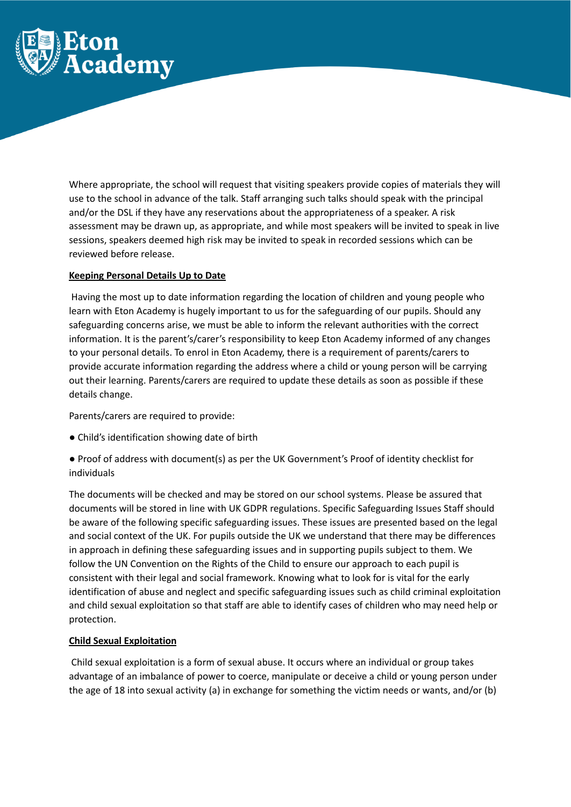

Where appropriate, the school will request that visiting speakers provide copies of materials they will use to the school in advance of the talk. Staff arranging such talks should speak with the principal and/or the DSL if they have any reservations about the appropriateness of a speaker. A risk assessment may be drawn up, as appropriate, and while most speakers will be invited to speak in live sessions, speakers deemed high risk may be invited to speak in recorded sessions which can be reviewed before release.

# **Keeping Personal Details Up to Date**

Having the most up to date information regarding the location of children and young people who learn with Eton Academy is hugely important to us for the safeguarding of our pupils. Should any safeguarding concerns arise, we must be able to inform the relevant authorities with the correct information. It is the parent's/carer's responsibility to keep Eton Academy informed of any changes to your personal details. To enrol in Eton Academy, there is a requirement of parents/carers to provide accurate information regarding the address where a child or young person will be carrying out their learning. Parents/carers are required to update these details as soon as possible if these details change.

Parents/carers are required to provide:

- Child's identification showing date of birth
- Proof of address with document(s) as per the UK Government's Proof of identity checklist for individuals

The documents will be checked and may be stored on our school systems. Please be assured that documents will be stored in line with UK GDPR regulations. Specific Safeguarding Issues Staff should be aware of the following specific safeguarding issues. These issues are presented based on the legal and social context of the UK. For pupils outside the UK we understand that there may be differences in approach in defining these safeguarding issues and in supporting pupils subject to them. We follow the UN Convention on the Rights of the Child to ensure our approach to each pupil is consistent with their legal and social framework. Knowing what to look for is vital for the early identification of abuse and neglect and specific safeguarding issues such as child criminal exploitation and child sexual exploitation so that staff are able to identify cases of children who may need help or protection.

# **Child Sexual Exploitation**

Child sexual exploitation is a form of sexual abuse. It occurs where an individual or group takes advantage of an imbalance of power to coerce, manipulate or deceive a child or young person under the age of 18 into sexual activity (a) in exchange for something the victim needs or wants, and/or (b)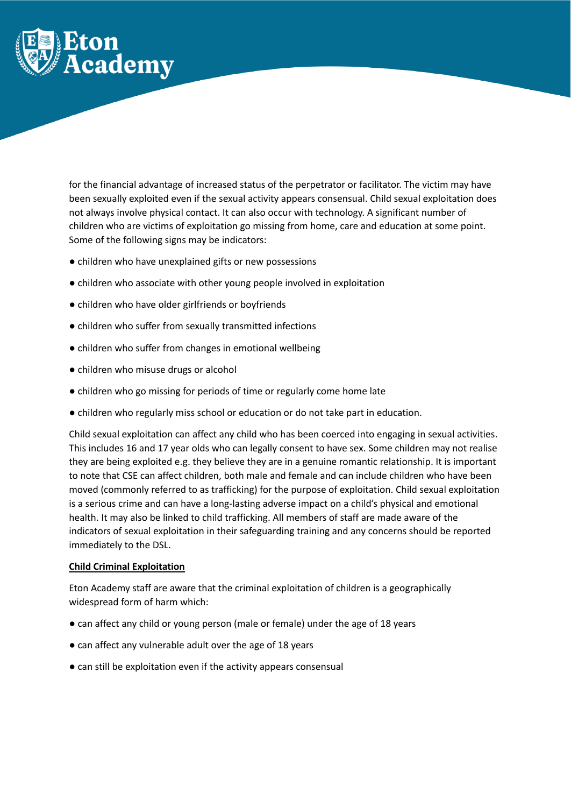

for the financial advantage of increased status of the perpetrator or facilitator. The victim may have been sexually exploited even if the sexual activity appears consensual. Child sexual exploitation does not always involve physical contact. It can also occur with technology. A significant number of children who are victims of exploitation go missing from home, care and education at some point. Some of the following signs may be indicators:

- children who have unexplained gifts or new possessions
- children who associate with other young people involved in exploitation
- children who have older girlfriends or boyfriends
- children who suffer from sexually transmitted infections
- children who suffer from changes in emotional wellbeing
- children who misuse drugs or alcohol
- children who go missing for periods of time or regularly come home late
- children who regularly miss school or education or do not take part in education.

Child sexual exploitation can affect any child who has been coerced into engaging in sexual activities. This includes 16 and 17 year olds who can legally consent to have sex. Some children may not realise they are being exploited e.g. they believe they are in a genuine romantic relationship. It is important to note that CSE can affect children, both male and female and can include children who have been moved (commonly referred to as trafficking) for the purpose of exploitation. Child sexual exploitation is a serious crime and can have a long-lasting adverse impact on a child's physical and emotional health. It may also be linked to child trafficking. All members of staff are made aware of the indicators of sexual exploitation in their safeguarding training and any concerns should be reported immediately to the DSL.

# **Child Criminal Exploitation**

Eton Academy staff are aware that the criminal exploitation of children is a geographically widespread form of harm which:

- can affect any child or young person (male or female) under the age of 18 years
- can affect any vulnerable adult over the age of 18 years
- can still be exploitation even if the activity appears consensual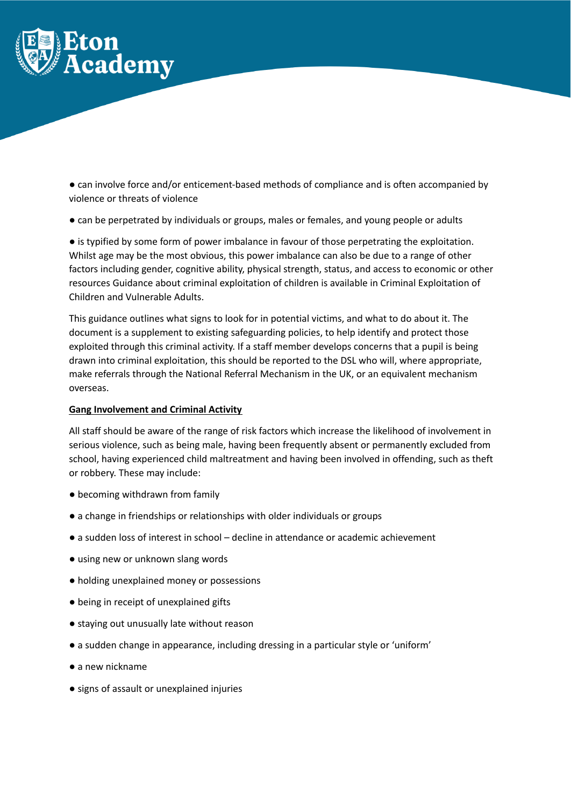

● can involve force and/or enticement-based methods of compliance and is often accompanied by violence or threats of violence

● can be perpetrated by individuals or groups, males or females, and young people or adults

● is typified by some form of power imbalance in favour of those perpetrating the exploitation. Whilst age may be the most obvious, this power imbalance can also be due to a range of other factors including gender, cognitive ability, physical strength, status, and access to economic or other resources Guidance about criminal exploitation of children is available in Criminal Exploitation of Children and Vulnerable Adults.

This guidance outlines what signs to look for in potential victims, and what to do about it. The document is a supplement to existing safeguarding policies, to help identify and protect those exploited through this criminal activity. If a staff member develops concerns that a pupil is being drawn into criminal exploitation, this should be reported to the DSL who will, where appropriate, make referrals through the National Referral Mechanism in the UK, or an equivalent mechanism overseas.

#### **Gang Involvement and Criminal Activity**

All staff should be aware of the range of risk factors which increase the likelihood of involvement in serious violence, such as being male, having been frequently absent or permanently excluded from school, having experienced child maltreatment and having been involved in offending, such as theft or robbery. These may include:

- becoming withdrawn from family
- a change in friendships or relationships with older individuals or groups
- a sudden loss of interest in school decline in attendance or academic achievement
- using new or unknown slang words
- holding unexplained money or possessions
- being in receipt of unexplained gifts
- staying out unusually late without reason
- a sudden change in appearance, including dressing in a particular style or 'uniform'
- a new nickname
- signs of assault or unexplained injuries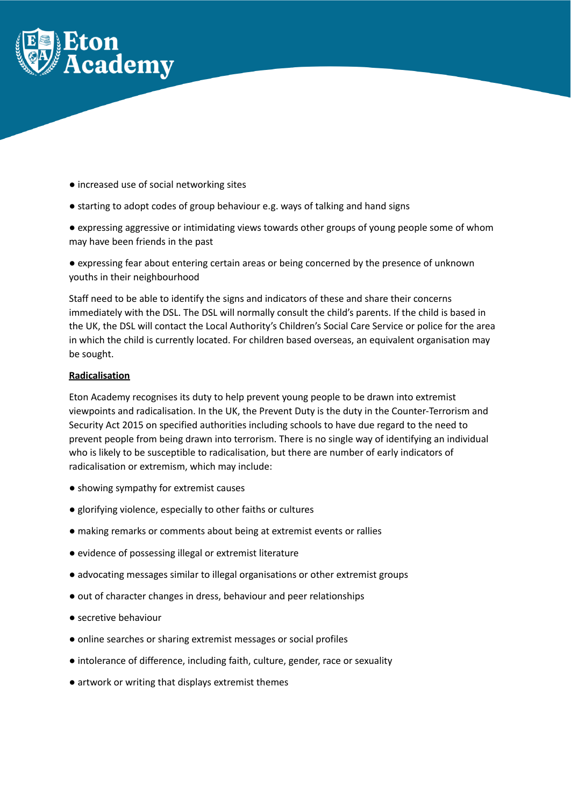

- increased use of social networking sites
- starting to adopt codes of group behaviour e.g. ways of talking and hand signs
- expressing aggressive or intimidating views towards other groups of young people some of whom may have been friends in the past

● expressing fear about entering certain areas or being concerned by the presence of unknown youths in their neighbourhood

Staff need to be able to identify the signs and indicators of these and share their concerns immediately with the DSL. The DSL will normally consult the child's parents. If the child is based in the UK, the DSL will contact the Local Authority's Children's Social Care Service or police for the area in which the child is currently located. For children based overseas, an equivalent organisation may be sought.

#### **Radicalisation**

Eton Academy recognises its duty to help prevent young people to be drawn into extremist viewpoints and radicalisation. In the UK, the Prevent Duty is the duty in the Counter-Terrorism and Security Act 2015 on specified authorities including schools to have due regard to the need to prevent people from being drawn into terrorism. There is no single way of identifying an individual who is likely to be susceptible to radicalisation, but there are number of early indicators of radicalisation or extremism, which may include:

- showing sympathy for extremist causes
- glorifying violence, especially to other faiths or cultures
- making remarks or comments about being at extremist events or rallies
- evidence of possessing illegal or extremist literature
- advocating messages similar to illegal organisations or other extremist groups
- out of character changes in dress, behaviour and peer relationships
- secretive behaviour
- online searches or sharing extremist messages or social profiles
- intolerance of difference, including faith, culture, gender, race or sexuality
- artwork or writing that displays extremist themes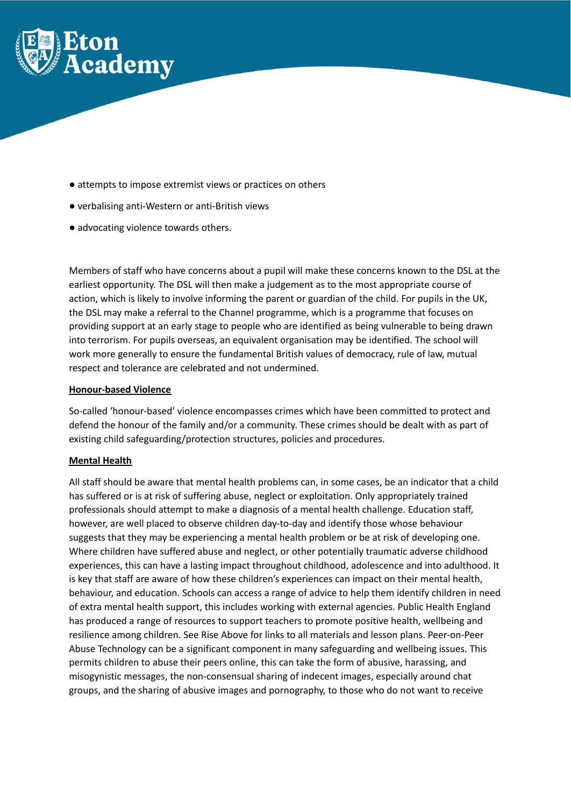

- attempts to impose extremist views or practices on others
- verbalising anti-Western or anti-British views
- advocating violence towards others.

Members of staff who have concerns about a pupil will make these concerns known to the DSL at the earliest opportunity. The DSL will then make a judgement as to the most appropriate course of action, which is likely to involve informing the parent or guardian of the child. For pupils in the UK, the DSL may make a referral to the Channel programme, which is a programme that focuses on providing support at an early stage to people who are identified as being vulnerable to being drawn into terrorism. For pupils overseas, an equivalent organisation may be identified. The school will work more generally to ensure the fundamental British values of democracy, rule of law, mutual respect and tolerance are celebrated and not undermined.

# **Honour-based Violence**

So-called 'honour-based' violence encompasses crimes which have been committed to protect and defend the honour of the family and/or a community. These crimes should be dealt with as part of existing child safeguarding/protection structures, policies and procedures.

# **Mental Health**

All staff should be aware that mental health problems can, in some cases, be an indicator that a child has suffered or is at risk of suffering abuse, neglect or exploitation. Only appropriately trained professionals should attempt to make a diagnosis of a mental health challenge. Education staff, however, are well placed to observe children day-to-day and identify those whose behaviour suggests that they may be experiencing a mental health problem or be at risk of developing one. Where children have suffered abuse and neglect, or other potentially traumatic adverse childhood experiences, this can have a lasting impact throughout childhood, adolescence and into adulthood. It is key that staff are aware of how these children's experiences can impact on their mental health, behaviour, and education. Schools can access a range of advice to help them identify children in need of extra mental health support, this includes working with external agencies. Public Health England has produced a range of resources to support teachers to promote positive health, wellbeing and resilience among children. See Rise Above for links to all materials and lesson plans. Peer-on-Peer Abuse Technology can be a significant component in many safeguarding and wellbeing issues. This permits children to abuse their peers online, this can take the form of abusive, harassing, and misogynistic messages, the non-consensual sharing of indecent images, especially around chat groups, and the sharing of abusive images and pornography, to those who do not want to receive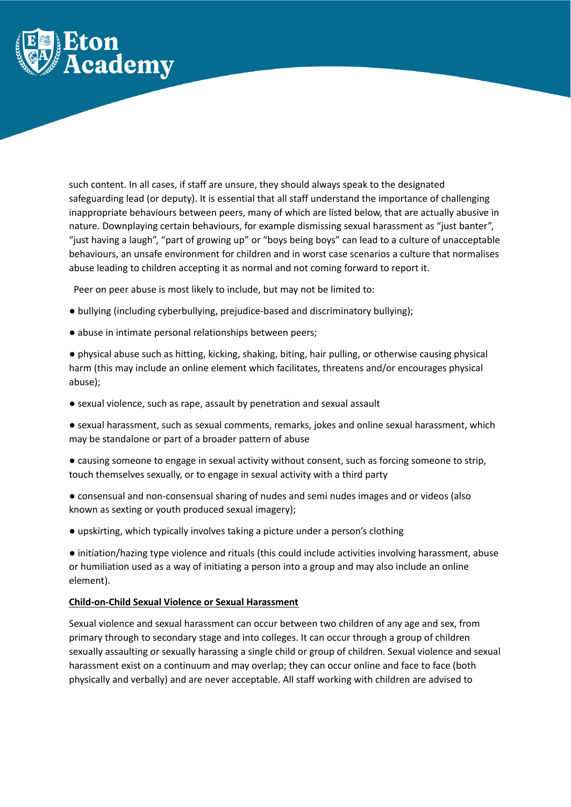

such content. In all cases, if staff are unsure, they should always speak to the designated safeguarding lead (or deputy). It is essential that all staff understand the importance of challenging inappropriate behaviours between peers, many of which are listed below, that are actually abusive in nature. Downplaying certain behaviours, for example dismissing sexual harassment as "just banter", "just having a laugh", "part of growing up" or "boys being boys" can lead to a culture of unacceptable behaviours, an unsafe environment for children and in worst case scenarios a culture that normalises abuse leading to children accepting it as normal and not coming forward to report it.

Peer on peer abuse is most likely to include, but may not be limited to:

- bullying (including cyberbullying, prejudice-based and discriminatory bullying);
- abuse in intimate personal relationships between peers;

● physical abuse such as hitting, kicking, shaking, biting, hair pulling, or otherwise causing physical harm (this may include an online element which facilitates, threatens and/or encourages physical abuse);

● sexual violence, such as rape, assault by penetration and sexual assault

● sexual harassment, such as sexual comments, remarks, jokes and online sexual harassment, which may be standalone or part of a broader pattern of abuse

● causing someone to engage in sexual activity without consent, such as forcing someone to strip, touch themselves sexually, or to engage in sexual activity with a third party

● consensual and non-consensual sharing of nudes and semi nudes images and or videos (also known as sexting or youth produced sexual imagery);

● upskirting, which typically involves taking a picture under a person's clothing

● initiation/hazing type violence and rituals (this could include activities involving harassment, abuse or humiliation used as a way of initiating a person into a group and may also include an online element).

# **Child-on-Child Sexual Violence or Sexual Harassment**

Sexual violence and sexual harassment can occur between two children of any age and sex, from primary through to secondary stage and into colleges. It can occur through a group of children sexually assaulting or sexually harassing a single child or group of children. Sexual violence and sexual harassment exist on a continuum and may overlap; they can occur online and face to face (both physically and verbally) and are never acceptable. All staff working with children are advised to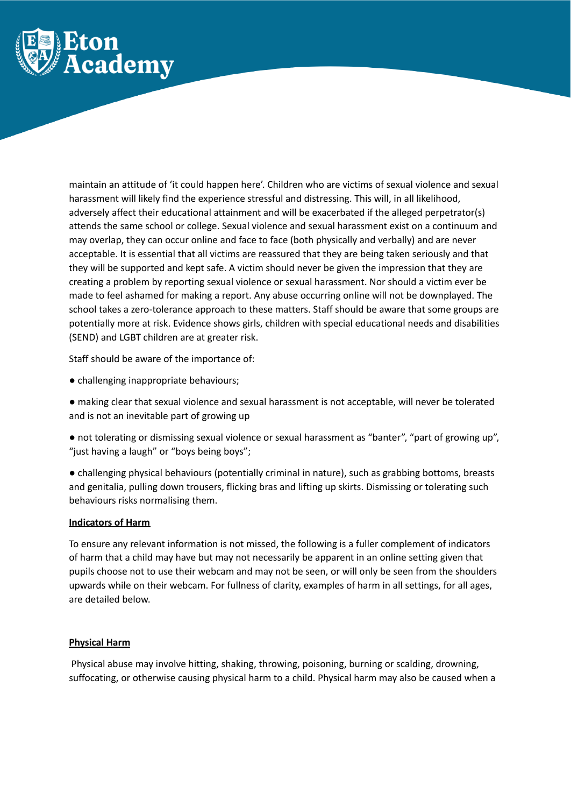

maintain an attitude of 'it could happen here'. Children who are victims of sexual violence and sexual harassment will likely find the experience stressful and distressing. This will, in all likelihood, adversely affect their educational attainment and will be exacerbated if the alleged perpetrator(s) attends the same school or college. Sexual violence and sexual harassment exist on a continuum and may overlap, they can occur online and face to face (both physically and verbally) and are never acceptable. It is essential that all victims are reassured that they are being taken seriously and that they will be supported and kept safe. A victim should never be given the impression that they are creating a problem by reporting sexual violence or sexual harassment. Nor should a victim ever be made to feel ashamed for making a report. Any abuse occurring online will not be downplayed. The school takes a zero-tolerance approach to these matters. Staff should be aware that some groups are potentially more at risk. Evidence shows girls, children with special educational needs and disabilities (SEND) and LGBT children are at greater risk.

Staff should be aware of the importance of:

- challenging inappropriate behaviours;
- making clear that sexual violence and sexual harassment is not acceptable, will never be tolerated and is not an inevitable part of growing up
- not tolerating or dismissing sexual violence or sexual harassment as "banter", "part of growing up", "just having a laugh" or "boys being boys";
- challenging physical behaviours (potentially criminal in nature), such as grabbing bottoms, breasts and genitalia, pulling down trousers, flicking bras and lifting up skirts. Dismissing or tolerating such behaviours risks normalising them.

# **Indicators of Harm**

To ensure any relevant information is not missed, the following is a fuller complement of indicators of harm that a child may have but may not necessarily be apparent in an online setting given that pupils choose not to use their webcam and may not be seen, or will only be seen from the shoulders upwards while on their webcam. For fullness of clarity, examples of harm in all settings, for all ages, are detailed below.

# **Physical Harm**

Physical abuse may involve hitting, shaking, throwing, poisoning, burning or scalding, drowning, suffocating, or otherwise causing physical harm to a child. Physical harm may also be caused when a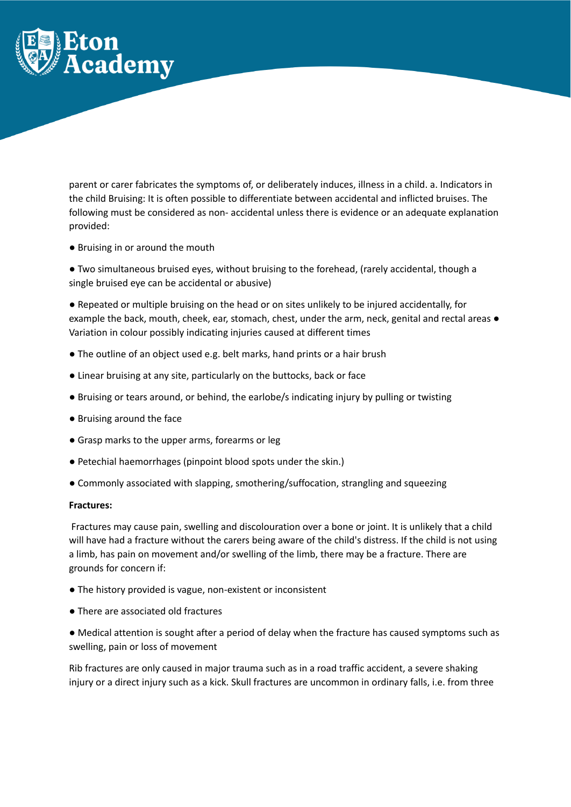

parent or carer fabricates the symptoms of, or deliberately induces, illness in a child. a. Indicators in the child Bruising: It is often possible to differentiate between accidental and inflicted bruises. The following must be considered as non- accidental unless there is evidence or an adequate explanation provided:

● Bruising in or around the mouth

● Two simultaneous bruised eyes, without bruising to the forehead, (rarely accidental, though a single bruised eye can be accidental or abusive)

● Repeated or multiple bruising on the head or on sites unlikely to be injured accidentally, for example the back, mouth, cheek, ear, stomach, chest, under the arm, neck, genital and rectal areas  $\bullet$ Variation in colour possibly indicating injuries caused at different times

- The outline of an object used e.g. belt marks, hand prints or a hair brush
- Linear bruising at any site, particularly on the buttocks, back or face
- Bruising or tears around, or behind, the earlobe/s indicating injury by pulling or twisting
- Bruising around the face
- Grasp marks to the upper arms, forearms or leg
- Petechial haemorrhages (pinpoint blood spots under the skin.)
- Commonly associated with slapping, smothering/suffocation, strangling and squeezing

#### **Fractures:**

Fractures may cause pain, swelling and discolouration over a bone or joint. It is unlikely that a child will have had a fracture without the carers being aware of the child's distress. If the child is not using a limb, has pain on movement and/or swelling of the limb, there may be a fracture. There are grounds for concern if:

- The history provided is vague, non-existent or inconsistent
- There are associated old fractures
- Medical attention is sought after a period of delay when the fracture has caused symptoms such as swelling, pain or loss of movement

Rib fractures are only caused in major trauma such as in a road traffic accident, a severe shaking injury or a direct injury such as a kick. Skull fractures are uncommon in ordinary falls, i.e. from three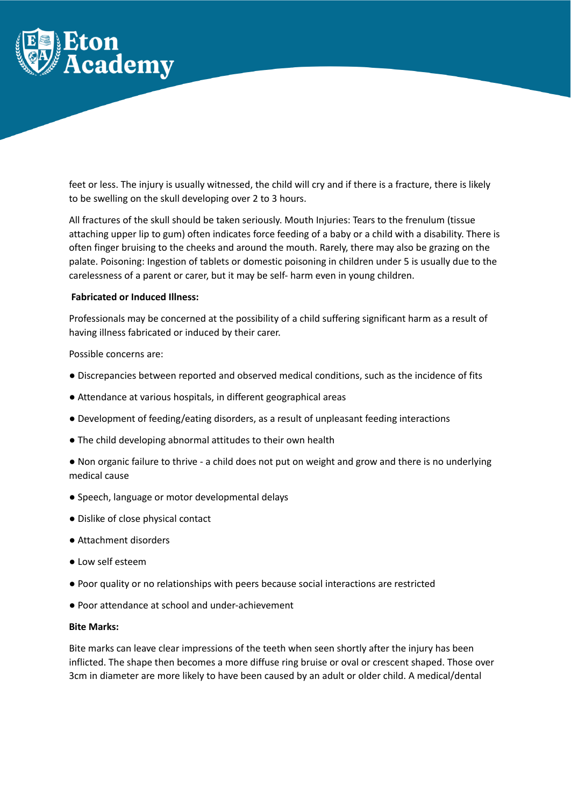

feet or less. The injury is usually witnessed, the child will cry and if there is a fracture, there is likely to be swelling on the skull developing over 2 to 3 hours.

All fractures of the skull should be taken seriously. Mouth Injuries: Tears to the frenulum (tissue attaching upper lip to gum) often indicates force feeding of a baby or a child with a disability. There is often finger bruising to the cheeks and around the mouth. Rarely, there may also be grazing on the palate. Poisoning: Ingestion of tablets or domestic poisoning in children under 5 is usually due to the carelessness of a parent or carer, but it may be self- harm even in young children.

#### **Fabricated or Induced Illness:**

Professionals may be concerned at the possibility of a child suffering significant harm as a result of having illness fabricated or induced by their carer.

Possible concerns are:

- Discrepancies between reported and observed medical conditions, such as the incidence of fits
- Attendance at various hospitals, in different geographical areas
- Development of feeding/eating disorders, as a result of unpleasant feeding interactions
- The child developing abnormal attitudes to their own health

● Non organic failure to thrive - a child does not put on weight and grow and there is no underlying medical cause

- Speech, language or motor developmental delays
- Dislike of close physical contact
- Attachment disorders
- Low self esteem
- Poor quality or no relationships with peers because social interactions are restricted
- Poor attendance at school and under-achievement

#### **Bite Marks:**

Bite marks can leave clear impressions of the teeth when seen shortly after the injury has been inflicted. The shape then becomes a more diffuse ring bruise or oval or crescent shaped. Those over 3cm in diameter are more likely to have been caused by an adult or older child. A medical/dental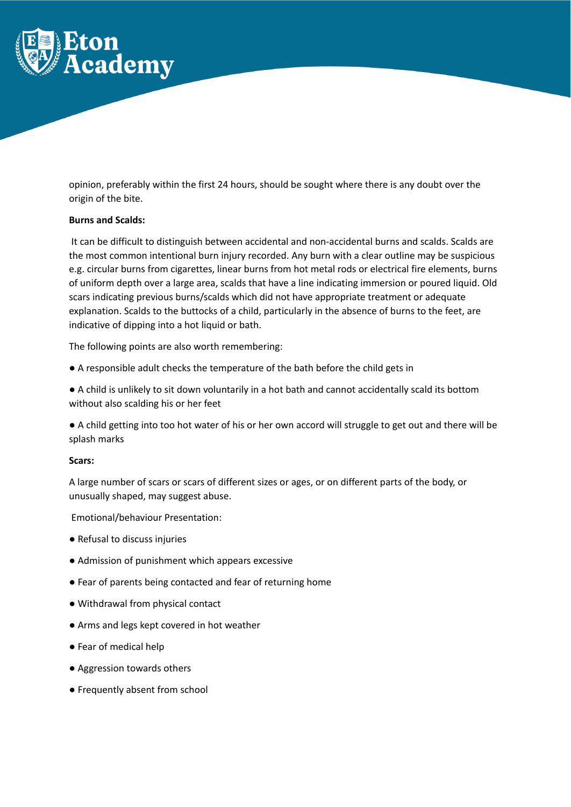

opinion, preferably within the first 24 hours, should be sought where there is any doubt over the origin of the bite.

#### **Burns and Scalds:**

It can be difficult to distinguish between accidental and non-accidental burns and scalds. Scalds are the most common intentional burn injury recorded. Any burn with a clear outline may be suspicious e.g. circular burns from cigarettes, linear burns from hot metal rods or electrical fire elements, burns of uniform depth over a large area, scalds that have a line indicating immersion or poured liquid. Old scars indicating previous burns/scalds which did not have appropriate treatment or adequate explanation. Scalds to the buttocks of a child, particularly in the absence of burns to the feet, are indicative of dipping into a hot liquid or bath.

The following points are also worth remembering:

● A responsible adult checks the temperature of the bath before the child gets in

● A child is unlikely to sit down voluntarily in a hot bath and cannot accidentally scald its bottom without also scalding his or her feet

● A child getting into too hot water of his or her own accord will struggle to get out and there will be splash marks

# **Scars:**

A large number of scars or scars of different sizes or ages, or on different parts of the body, or unusually shaped, may suggest abuse.

Emotional/behaviour Presentation:

- Refusal to discuss injuries
- Admission of punishment which appears excessive
- Fear of parents being contacted and fear of returning home
- Withdrawal from physical contact
- Arms and legs kept covered in hot weather
- Fear of medical help
- Aggression towards others
- Frequently absent from school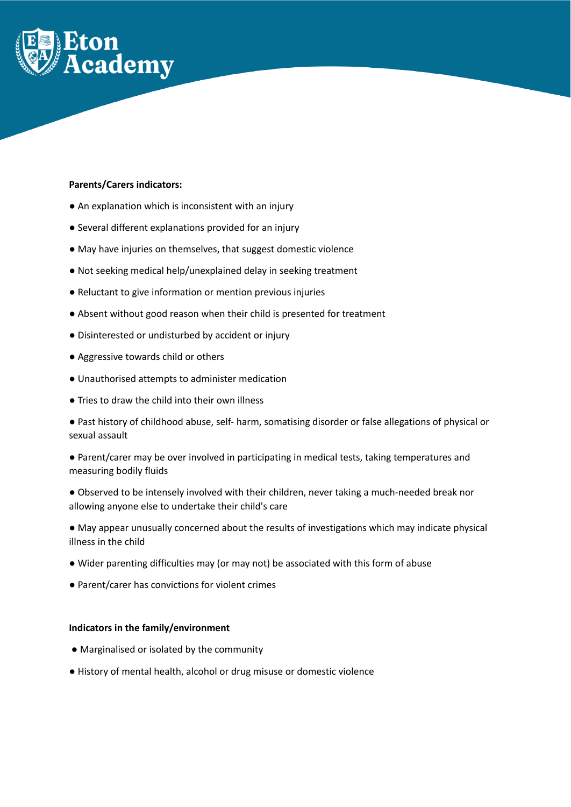

# **Parents/Carers indicators:**

- An explanation which is inconsistent with an injury
- Several different explanations provided for an injury
- May have injuries on themselves, that suggest domestic violence
- Not seeking medical help/unexplained delay in seeking treatment
- Reluctant to give information or mention previous injuries
- Absent without good reason when their child is presented for treatment
- Disinterested or undisturbed by accident or injury
- Aggressive towards child or others
- Unauthorised attempts to administer medication
- Tries to draw the child into their own illness

● Past history of childhood abuse, self- harm, somatising disorder or false allegations of physical or sexual assault

● Parent/carer may be over involved in participating in medical tests, taking temperatures and measuring bodily fluids

● Observed to be intensely involved with their children, never taking a much-needed break nor allowing anyone else to undertake their child's care

● May appear unusually concerned about the results of investigations which may indicate physical illness in the child

- Wider parenting difficulties may (or may not) be associated with this form of abuse
- Parent/carer has convictions for violent crimes

# **Indicators in the family/environment**

- Marginalised or isolated by the community
- History of mental health, alcohol or drug misuse or domestic violence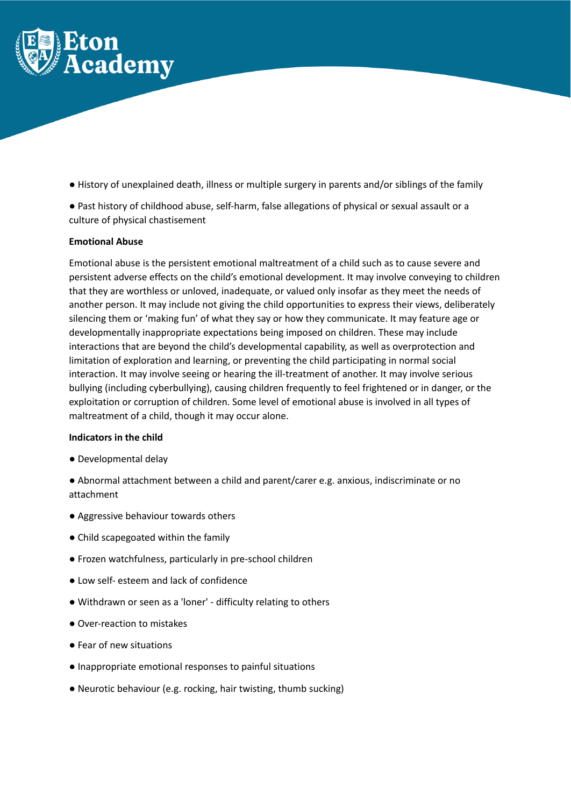

- History of unexplained death, illness or multiple surgery in parents and/or siblings of the family
- Past history of childhood abuse, self-harm, false allegations of physical or sexual assault or a culture of physical chastisement

# **Emotional Abuse**

Emotional abuse is the persistent emotional maltreatment of a child such as to cause severe and persistent adverse effects on the child's emotional development. It may involve conveying to children that they are worthless or unloved, inadequate, or valued only insofar as they meet the needs of another person. It may include not giving the child opportunities to express their views, deliberately silencing them or 'making fun' of what they say or how they communicate. It may feature age or developmentally inappropriate expectations being imposed on children. These may include interactions that are beyond the child's developmental capability, as well as overprotection and limitation of exploration and learning, or preventing the child participating in normal social interaction. It may involve seeing or hearing the ill-treatment of another. It may involve serious bullying (including cyberbullying), causing children frequently to feel frightened or in danger, or the exploitation or corruption of children. Some level of emotional abuse is involved in all types of maltreatment of a child, though it may occur alone.

#### **Indicators in the child**

- Developmental delay
- Abnormal attachment between a child and parent/carer e.g. anxious, indiscriminate or no attachment
- Aggressive behaviour towards others
- Child scapegoated within the family
- Frozen watchfulness, particularly in pre-school children
- Low self- esteem and lack of confidence
- Withdrawn or seen as a 'loner' difficulty relating to others
- Over-reaction to mistakes
- Fear of new situations
- Inappropriate emotional responses to painful situations
- Neurotic behaviour (e.g. rocking, hair twisting, thumb sucking)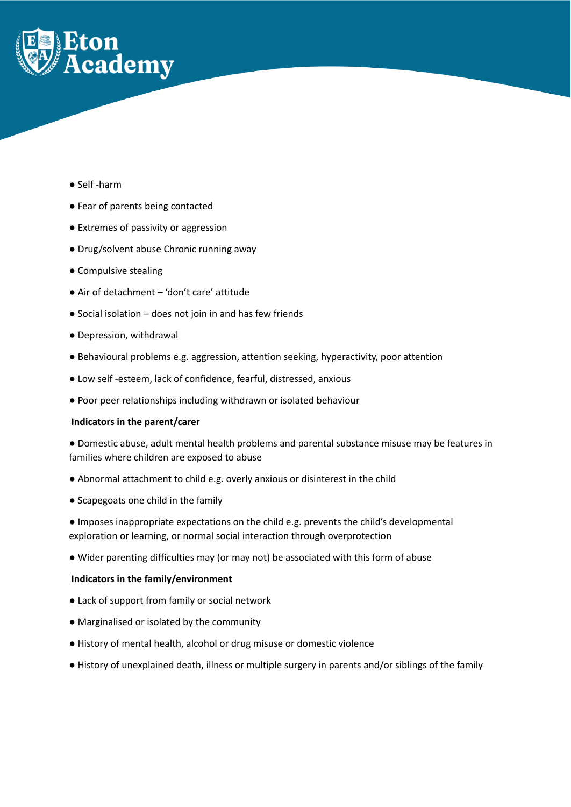

- Self -harm
- Fear of parents being contacted
- Extremes of passivity or aggression
- Drug/solvent abuse Chronic running away
- Compulsive stealing
- Air of detachment 'don't care' attitude
- Social isolation does not join in and has few friends
- Depression, withdrawal
- Behavioural problems e.g. aggression, attention seeking, hyperactivity, poor attention
- Low self -esteem, lack of confidence, fearful, distressed, anxious
- Poor peer relationships including withdrawn or isolated behaviour

# **Indicators in the parent/carer**

● Domestic abuse, adult mental health problems and parental substance misuse may be features in families where children are exposed to abuse

- Abnormal attachment to child e.g. overly anxious or disinterest in the child
- Scapegoats one child in the family
- Imposes inappropriate expectations on the child e.g. prevents the child's developmental exploration or learning, or normal social interaction through overprotection
- Wider parenting difficulties may (or may not) be associated with this form of abuse

# **Indicators in the family/environment**

- Lack of support from family or social network
- Marginalised or isolated by the community
- History of mental health, alcohol or drug misuse or domestic violence
- History of unexplained death, illness or multiple surgery in parents and/or siblings of the family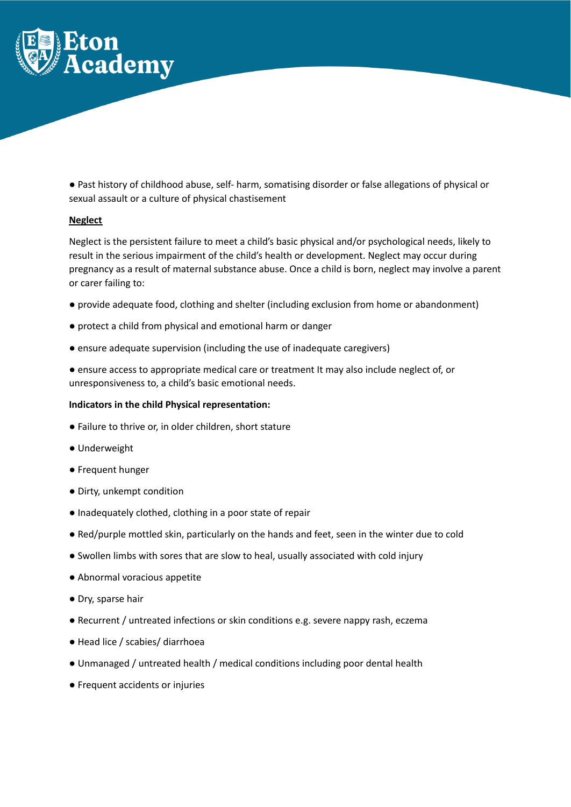

● Past history of childhood abuse, self- harm, somatising disorder or false allegations of physical or sexual assault or a culture of physical chastisement

#### **Neglect**

Neglect is the persistent failure to meet a child's basic physical and/or psychological needs, likely to result in the serious impairment of the child's health or development. Neglect may occur during pregnancy as a result of maternal substance abuse. Once a child is born, neglect may involve a parent or carer failing to:

- provide adequate food, clothing and shelter (including exclusion from home or abandonment)
- protect a child from physical and emotional harm or danger
- ensure adequate supervision (including the use of inadequate caregivers)
- ensure access to appropriate medical care or treatment It may also include neglect of, or unresponsiveness to, a child's basic emotional needs.

#### **Indicators in the child Physical representation:**

- Failure to thrive or, in older children, short stature
- Underweight
- Frequent hunger
- Dirty, unkempt condition
- Inadequately clothed, clothing in a poor state of repair
- Red/purple mottled skin, particularly on the hands and feet, seen in the winter due to cold
- Swollen limbs with sores that are slow to heal, usually associated with cold injury
- Abnormal voracious appetite
- Dry, sparse hair
- Recurrent / untreated infections or skin conditions e.g. severe nappy rash, eczema
- Head lice / scabies/ diarrhoea
- Unmanaged / untreated health / medical conditions including poor dental health
- Frequent accidents or injuries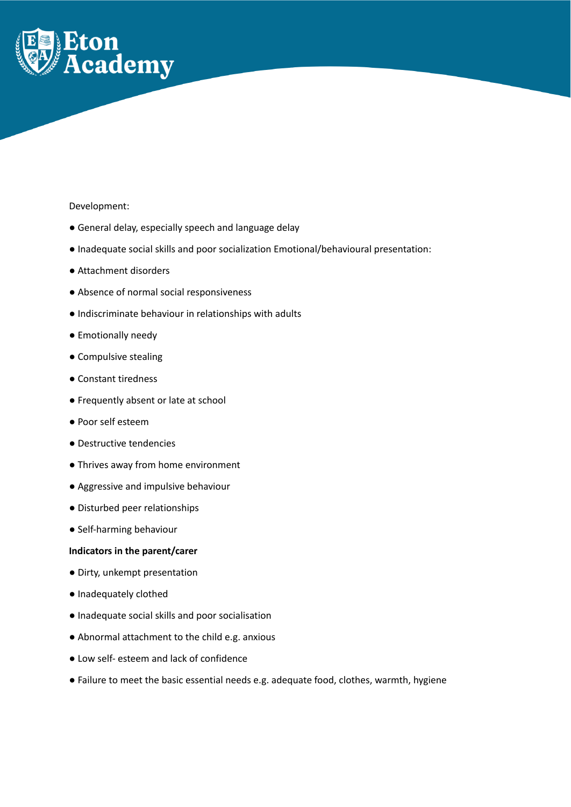

# Development:

- General delay, especially speech and language delay
- Inadequate social skills and poor socialization Emotional/behavioural presentation:
- Attachment disorders
- Absence of normal social responsiveness
- Indiscriminate behaviour in relationships with adults
- Emotionally needy
- Compulsive stealing
- Constant tiredness
- Frequently absent or late at school
- Poor self esteem
- Destructive tendencies
- Thrives away from home environment
- Aggressive and impulsive behaviour
- Disturbed peer relationships
- Self-harming behaviour

# **Indicators in the parent/carer**

- Dirty, unkempt presentation
- Inadequately clothed
- Inadequate social skills and poor socialisation
- Abnormal attachment to the child e.g. anxious
- Low self- esteem and lack of confidence
- Failure to meet the basic essential needs e.g. adequate food, clothes, warmth, hygiene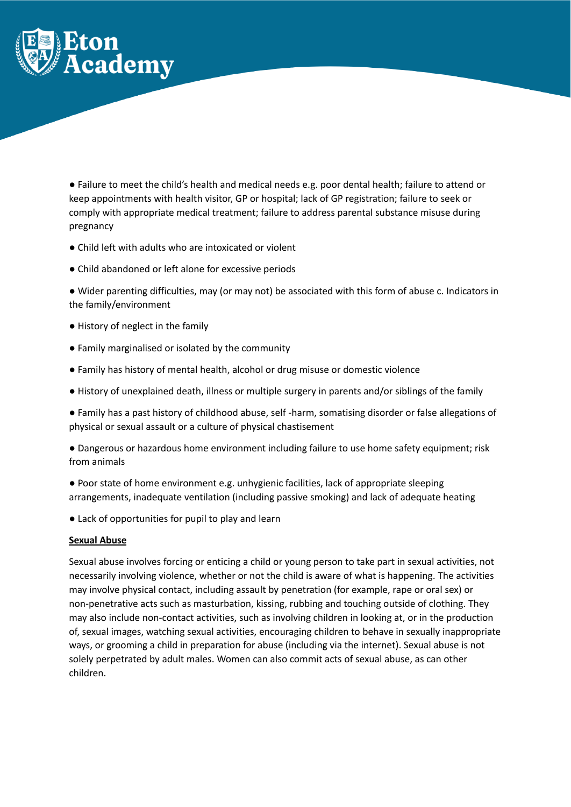

● Failure to meet the child's health and medical needs e.g. poor dental health; failure to attend or keep appointments with health visitor, GP or hospital; lack of GP registration; failure to seek or comply with appropriate medical treatment; failure to address parental substance misuse during pregnancy

- Child left with adults who are intoxicated or violent
- Child abandoned or left alone for excessive periods
- Wider parenting difficulties, may (or may not) be associated with this form of abuse c. Indicators in the family/environment
- History of neglect in the family
- Family marginalised or isolated by the community
- Family has history of mental health, alcohol or drug misuse or domestic violence
- History of unexplained death, illness or multiple surgery in parents and/or siblings of the family
- Family has a past history of childhood abuse, self -harm, somatising disorder or false allegations of physical or sexual assault or a culture of physical chastisement
- Dangerous or hazardous home environment including failure to use home safety equipment; risk from animals
- Poor state of home environment e.g. unhygienic facilities, lack of appropriate sleeping arrangements, inadequate ventilation (including passive smoking) and lack of adequate heating
- Lack of opportunities for pupil to play and learn

#### **Sexual Abuse**

Sexual abuse involves forcing or enticing a child or young person to take part in sexual activities, not necessarily involving violence, whether or not the child is aware of what is happening. The activities may involve physical contact, including assault by penetration (for example, rape or oral sex) or non-penetrative acts such as masturbation, kissing, rubbing and touching outside of clothing. They may also include non-contact activities, such as involving children in looking at, or in the production of, sexual images, watching sexual activities, encouraging children to behave in sexually inappropriate ways, or grooming a child in preparation for abuse (including via the internet). Sexual abuse is not solely perpetrated by adult males. Women can also commit acts of sexual abuse, as can other children.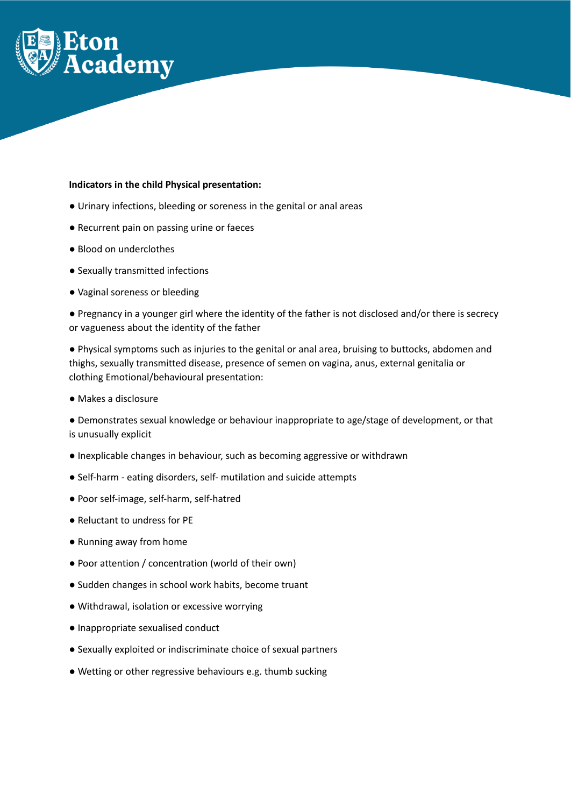

#### **Indicators in the child Physical presentation:**

- Urinary infections, bleeding or soreness in the genital or anal areas
- Recurrent pain on passing urine or faeces
- Blood on underclothes
- Sexually transmitted infections
- Vaginal soreness or bleeding

● Pregnancy in a younger girl where the identity of the father is not disclosed and/or there is secrecy or vagueness about the identity of the father

● Physical symptoms such as injuries to the genital or anal area, bruising to buttocks, abdomen and thighs, sexually transmitted disease, presence of semen on vagina, anus, external genitalia or clothing Emotional/behavioural presentation:

● Makes a disclosure

● Demonstrates sexual knowledge or behaviour inappropriate to age/stage of development, or that is unusually explicit

- Inexplicable changes in behaviour, such as becoming aggressive or withdrawn
- Self-harm eating disorders, self- mutilation and suicide attempts
- Poor self-image, self-harm, self-hatred
- Reluctant to undress for PE
- Running away from home
- Poor attention / concentration (world of their own)
- Sudden changes in school work habits, become truant
- Withdrawal, isolation or excessive worrying
- Inappropriate sexualised conduct
- Sexually exploited or indiscriminate choice of sexual partners
- Wetting or other regressive behaviours e.g. thumb sucking